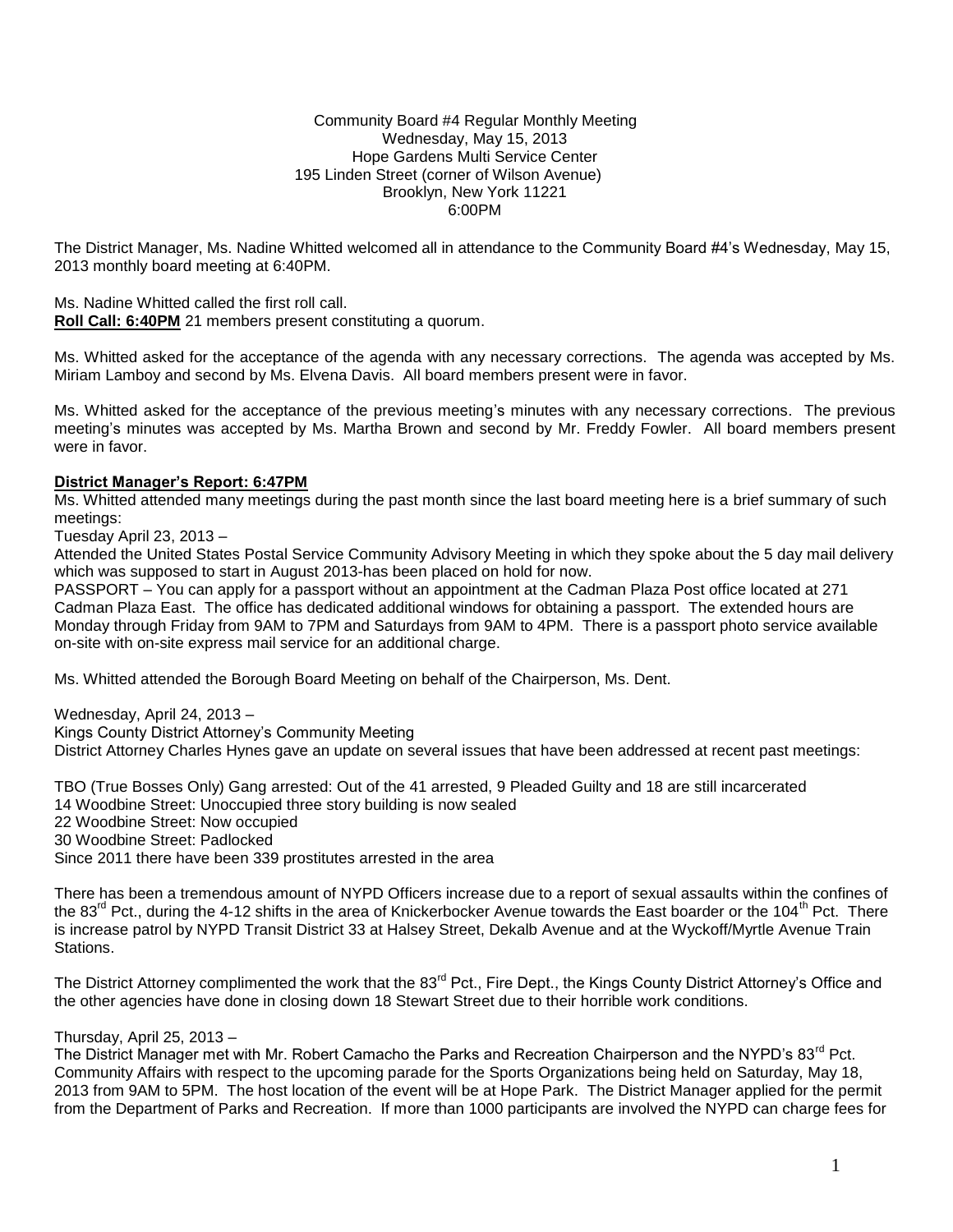#### Community Board #4 Regular Monthly Meeting Wednesday, May 15, 2013 Hope Gardens Multi Service Center 195 Linden Street (corner of Wilson Avenue) Brooklyn, New York 11221 6:00PM

The District Manager, Ms. Nadine Whitted welcomed all in attendance to the Community Board #4's Wednesday, May 15, 2013 monthly board meeting at 6:40PM.

Ms. Nadine Whitted called the first roll call.

**Roll Call: 6:40PM** 21 members present constituting a quorum.

Ms. Whitted asked for the acceptance of the agenda with any necessary corrections. The agenda was accepted by Ms. Miriam Lamboy and second by Ms. Elvena Davis. All board members present were in favor.

Ms. Whitted asked for the acceptance of the previous meeting's minutes with any necessary corrections. The previous meeting's minutes was accepted by Ms. Martha Brown and second by Mr. Freddy Fowler. All board members present were in favor.

## **District Manager's Report: 6:47PM**

Ms. Whitted attended many meetings during the past month since the last board meeting here is a brief summary of such meetings:

Tuesday April 23, 2013 –

Attended the United States Postal Service Community Advisory Meeting in which they spoke about the 5 day mail delivery which was supposed to start in August 2013-has been placed on hold for now.

PASSPORT – You can apply for a passport without an appointment at the Cadman Plaza Post office located at 271 Cadman Plaza East. The office has dedicated additional windows for obtaining a passport. The extended hours are Monday through Friday from 9AM to 7PM and Saturdays from 9AM to 4PM. There is a passport photo service available on-site with on-site express mail service for an additional charge.

Ms. Whitted attended the Borough Board Meeting on behalf of the Chairperson, Ms. Dent.

Wednesday, April 24, 2013 – Kings County District Attorney's Community Meeting District Attorney Charles Hynes gave an update on several issues that have been addressed at recent past meetings:

TBO (True Bosses Only) Gang arrested: Out of the 41 arrested, 9 Pleaded Guilty and 18 are still incarcerated 14 Woodbine Street: Unoccupied three story building is now sealed 22 Woodbine Street: Now occupied 30 Woodbine Street: Padlocked Since 2011 there have been 339 prostitutes arrested in the area

There has been a tremendous amount of NYPD Officers increase due to a report of sexual assaults within the confines of the 83<sup>rd</sup> Pct., during the 4-12 shifts in the area of Knickerbocker Avenue towards the East boarder or the 104<sup>th</sup> Pct. There is increase patrol by NYPD Transit District 33 at Halsey Street, Dekalb Avenue and at the Wyckoff/Myrtle Avenue Train Stations.

The District Attorney complimented the work that the 83<sup>rd</sup> Pct., Fire Dept., the Kings County District Attorney's Office and the other agencies have done in closing down 18 Stewart Street due to their horrible work conditions.

# Thursday, April 25, 2013 –

The District Manager met with Mr. Robert Camacho the Parks and Recreation Chairperson and the NYPD's 83<sup>rd</sup> Pct. Community Affairs with respect to the upcoming parade for the Sports Organizations being held on Saturday, May 18, 2013 from 9AM to 5PM. The host location of the event will be at Hope Park. The District Manager applied for the permit from the Department of Parks and Recreation. If more than 1000 participants are involved the NYPD can charge fees for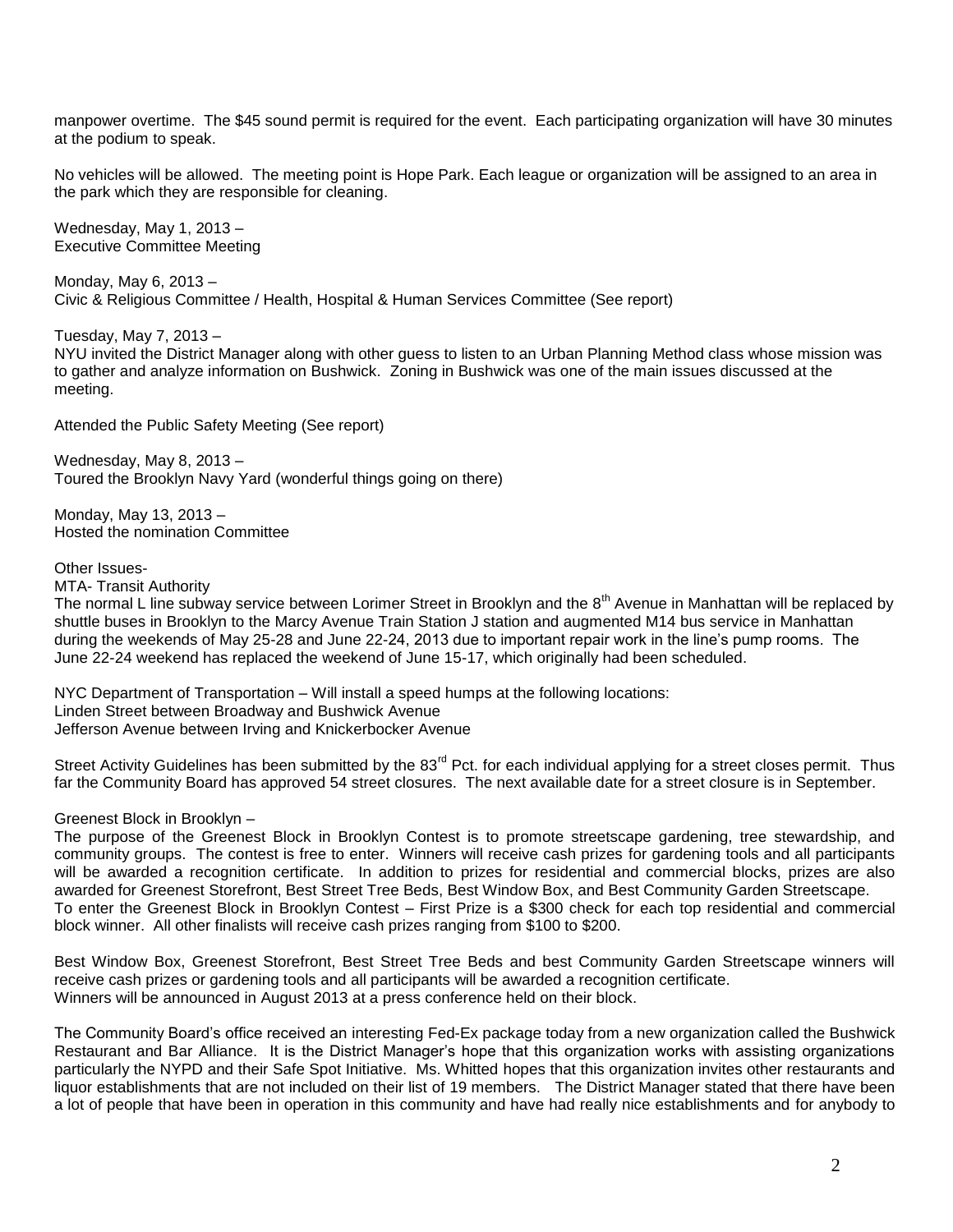manpower overtime. The \$45 sound permit is required for the event. Each participating organization will have 30 minutes at the podium to speak.

No vehicles will be allowed. The meeting point is Hope Park. Each league or organization will be assigned to an area in the park which they are responsible for cleaning.

Wednesday, May 1, 2013 – Executive Committee Meeting

Monday, May 6, 2013 – Civic & Religious Committee / Health, Hospital & Human Services Committee (See report)

Tuesday, May 7, 2013 –

NYU invited the District Manager along with other guess to listen to an Urban Planning Method class whose mission was to gather and analyze information on Bushwick. Zoning in Bushwick was one of the main issues discussed at the meeting.

Attended the Public Safety Meeting (See report)

Wednesday, May 8, 2013 – Toured the Brooklyn Navy Yard (wonderful things going on there)

Monday, May 13, 2013 – Hosted the nomination Committee

Other Issues-

MTA- Transit Authority

The normal L line subway service between Lorimer Street in Brooklyn and the  $8<sup>th</sup>$  Avenue in Manhattan will be replaced by shuttle buses in Brooklyn to the Marcy Avenue Train Station J station and augmented M14 bus service in Manhattan during the weekends of May 25-28 and June 22-24, 2013 due to important repair work in the line's pump rooms. The June 22-24 weekend has replaced the weekend of June 15-17, which originally had been scheduled.

NYC Department of Transportation – Will install a speed humps at the following locations: Linden Street between Broadway and Bushwick Avenue Jefferson Avenue between Irving and Knickerbocker Avenue

Street Activity Guidelines has been submitted by the 83<sup>rd</sup> Pct. for each individual applying for a street closes permit. Thus far the Community Board has approved 54 street closures. The next available date for a street closure is in September.

Greenest Block in Brooklyn –

The purpose of the Greenest Block in Brooklyn Contest is to promote streetscape gardening, tree stewardship, and community groups. The contest is free to enter. Winners will receive cash prizes for gardening tools and all participants will be awarded a recognition certificate. In addition to prizes for residential and commercial blocks, prizes are also awarded for Greenest Storefront, Best Street Tree Beds, Best Window Box, and Best Community Garden Streetscape. To enter the Greenest Block in Brooklyn Contest – First Prize is a \$300 check for each top residential and commercial block winner. All other finalists will receive cash prizes ranging from \$100 to \$200.

Best Window Box, Greenest Storefront, Best Street Tree Beds and best Community Garden Streetscape winners will receive cash prizes or gardening tools and all participants will be awarded a recognition certificate. Winners will be announced in August 2013 at a press conference held on their block.

The Community Board's office received an interesting Fed-Ex package today from a new organization called the Bushwick Restaurant and Bar Alliance. It is the District Manager's hope that this organization works with assisting organizations particularly the NYPD and their Safe Spot Initiative. Ms. Whitted hopes that this organization invites other restaurants and liquor establishments that are not included on their list of 19 members. The District Manager stated that there have been a lot of people that have been in operation in this community and have had really nice establishments and for anybody to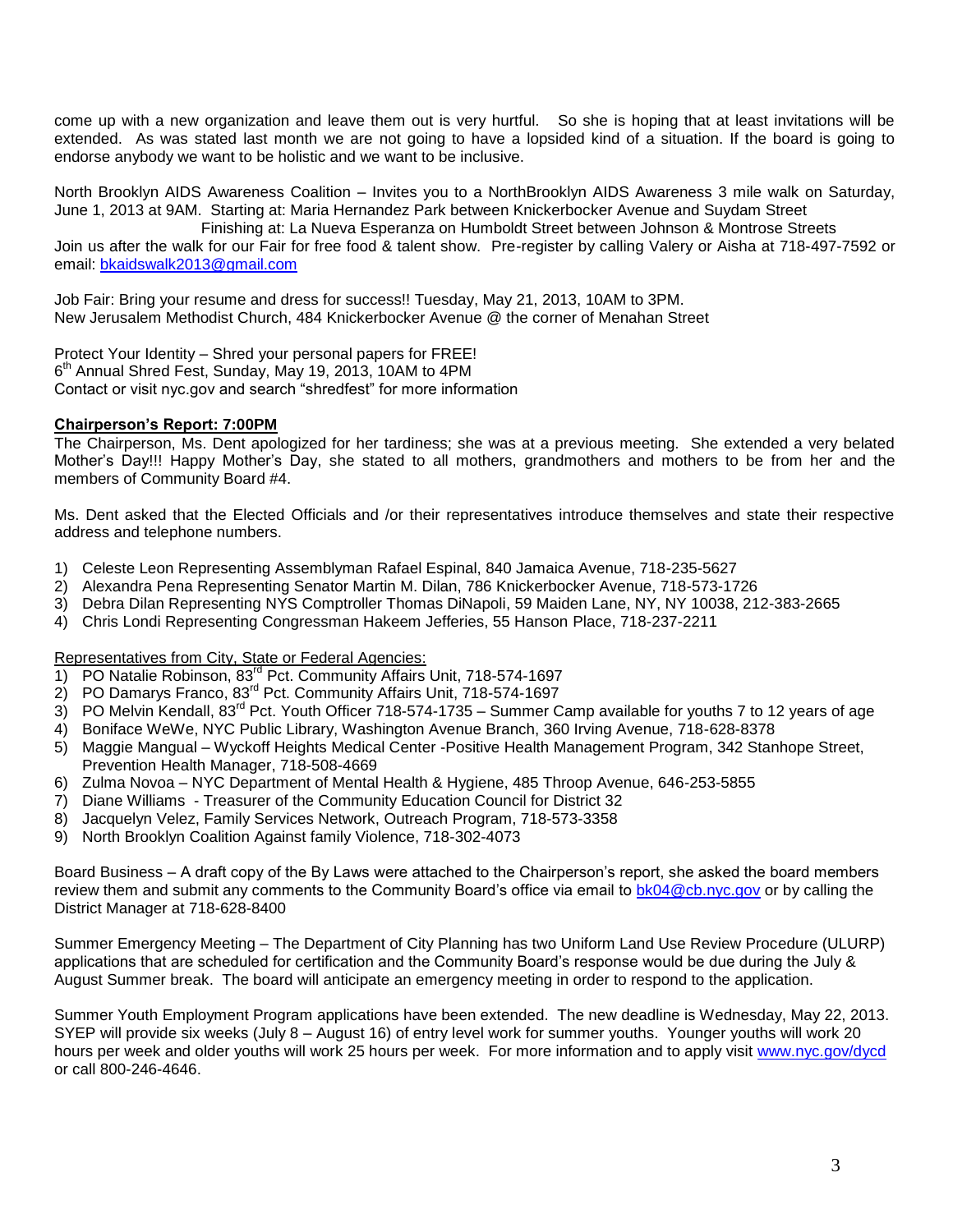come up with a new organization and leave them out is very hurtful. So she is hoping that at least invitations will be extended. As was stated last month we are not going to have a lopsided kind of a situation. If the board is going to endorse anybody we want to be holistic and we want to be inclusive.

North Brooklyn AIDS Awareness Coalition – Invites you to a NorthBrooklyn AIDS Awareness 3 mile walk on Saturday, June 1, 2013 at 9AM. Starting at: Maria Hernandez Park between Knickerbocker Avenue and Suydam Street

 Finishing at: La Nueva Esperanza on Humboldt Street between Johnson & Montrose Streets Join us after the walk for our Fair for free food & talent show. Pre-register by calling Valery or Aisha at 718-497-7592 or

email: [bkaidswalk2013@gmail.com](mailto:bkaidswalk2013@gmail.com)

Job Fair: Bring your resume and dress for success!! Tuesday, May 21, 2013, 10AM to 3PM. New Jerusalem Methodist Church, 484 Knickerbocker Avenue @ the corner of Menahan Street

Protect Your Identity – Shred your personal papers for FREE! 6<sup>th</sup> Annual Shred Fest, Sunday, May 19, 2013, 10AM to 4PM Contact or visit nyc.gov and search "shredfest" for more information

# **Chairperson's Report: 7:00PM**

The Chairperson, Ms. Dent apologized for her tardiness; she was at a previous meeting. She extended a very belated Mother's Day!!! Happy Mother's Day, she stated to all mothers, grandmothers and mothers to be from her and the members of Community Board #4.

Ms. Dent asked that the Elected Officials and /or their representatives introduce themselves and state their respective address and telephone numbers.

- 1) Celeste Leon Representing Assemblyman Rafael Espinal, 840 Jamaica Avenue, 718-235-5627
- 2) Alexandra Pena Representing Senator Martin M. Dilan, 786 Knickerbocker Avenue, 718-573-1726
- 3) Debra Dilan Representing NYS Comptroller Thomas DiNapoli, 59 Maiden Lane, NY, NY 10038, 212-383-2665
- 4) Chris Londi Representing Congressman Hakeem Jefferies, 55 Hanson Place, 718-237-2211

# Representatives from City, State or Federal Agencies:

- 1) PO Natalie Robinson, 83<sup>rd</sup> Pct. Community Affairs Unit, 718-574-1697
- 2) PO Damarys Franco, 83<sup>rd</sup> Pct. Community Affairs Unit, 718-574-1697
- 3) PO Melvin Kendall, 83<sup>rd</sup> Pct. Youth Officer 718-574-1735 Summer Camp available for youths 7 to 12 years of age
- 4) Boniface WeWe, NYC Public Library, Washington Avenue Branch, 360 Irving Avenue, 718-628-8378
- 5) Maggie Mangual Wyckoff Heights Medical Center -Positive Health Management Program, 342 Stanhope Street, Prevention Health Manager, 718-508-4669
- 6) Zulma Novoa NYC Department of Mental Health & Hygiene, 485 Throop Avenue, 646-253-5855
- 7) Diane Williams Treasurer of the Community Education Council for District 32
- 8) Jacquelyn Velez, Family Services Network, Outreach Program, 718-573-3358
- 9) North Brooklyn Coalition Against family Violence, 718-302-4073

Board Business – A draft copy of the By Laws were attached to the Chairperson's report, she asked the board members review them and submit any comments to the Community Board's office via email to [bk04@cb.nyc.gov](mailto:bk04@cb.nyc.gov) or by calling the District Manager at 718-628-8400

Summer Emergency Meeting – The Department of City Planning has two Uniform Land Use Review Procedure (ULURP) applications that are scheduled for certification and the Community Board's response would be due during the July & August Summer break. The board will anticipate an emergency meeting in order to respond to the application.

Summer Youth Employment Program applications have been extended. The new deadline is Wednesday, May 22, 2013. SYEP will provide six weeks (July 8 – August 16) of entry level work for summer youths. Younger youths will work 20 hours per week and older youths will work 25 hours per week. For more information and to apply visit [www.nyc.gov/dycd](http://www.nyc.gov/dycd)  or call 800-246-4646.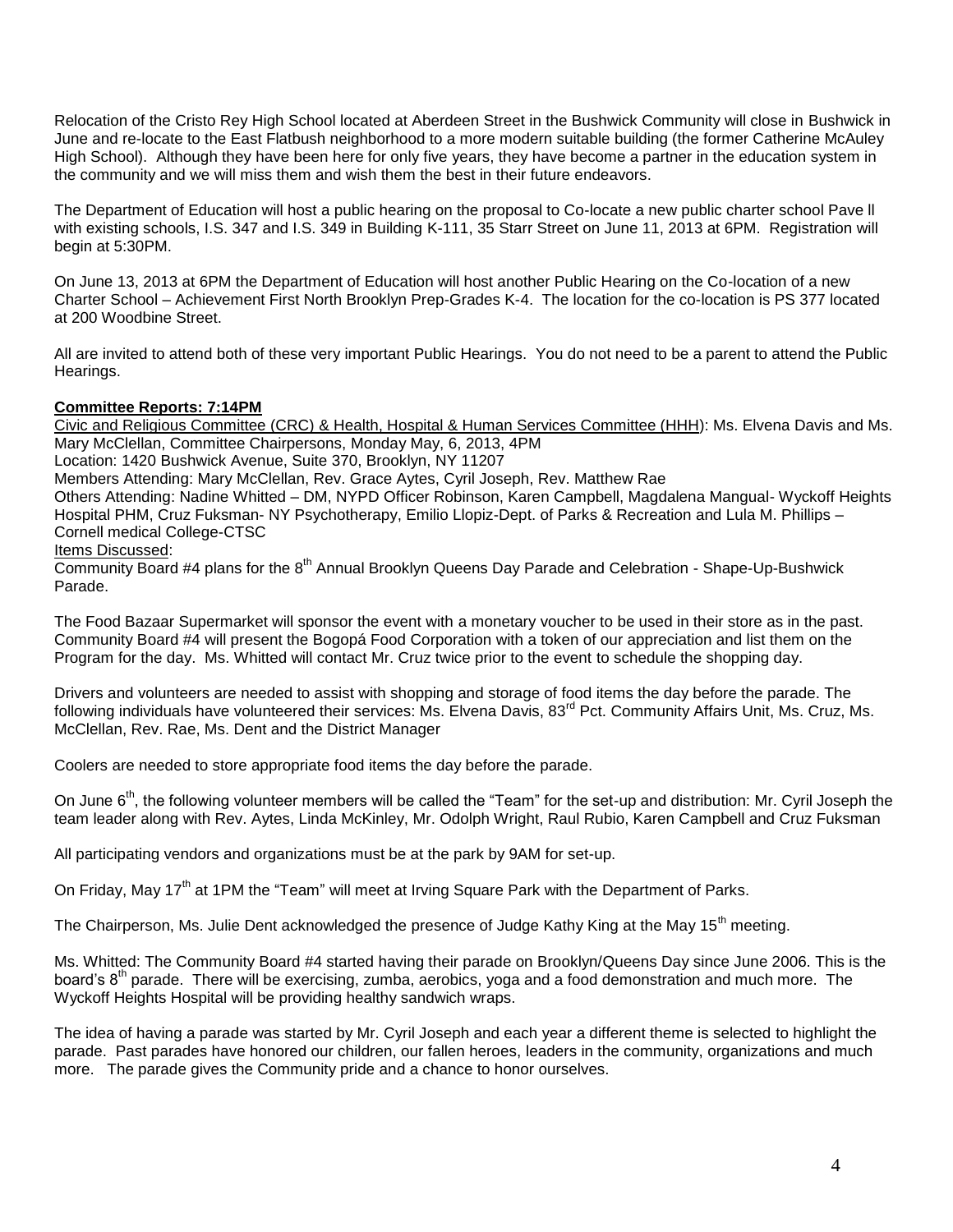Relocation of the Cristo Rey High School located at Aberdeen Street in the Bushwick Community will close in Bushwick in June and re-locate to the East Flatbush neighborhood to a more modern suitable building (the former Catherine McAuley High School). Although they have been here for only five years, they have become a partner in the education system in the community and we will miss them and wish them the best in their future endeavors.

The Department of Education will host a public hearing on the proposal to Co-locate a new public charter school Pave ll with existing schools, I.S. 347 and I.S. 349 in Building K-111, 35 Starr Street on June 11, 2013 at 6PM. Registration will begin at 5:30PM.

On June 13, 2013 at 6PM the Department of Education will host another Public Hearing on the Co-location of a new Charter School – Achievement First North Brooklyn Prep-Grades K-4. The location for the co-location is PS 377 located at 200 Woodbine Street.

All are invited to attend both of these very important Public Hearings. You do not need to be a parent to attend the Public Hearings.

# **Committee Reports: 7:14PM**

Civic and Religious Committee (CRC) & Health, Hospital & Human Services Committee (HHH): Ms. Elvena Davis and Ms. Mary McClellan, Committee Chairpersons, Monday May, 6, 2013, 4PM

Location: 1420 Bushwick Avenue, Suite 370, Brooklyn, NY 11207

Members Attending: Mary McClellan, Rev. Grace Aytes, Cyril Joseph, Rev. Matthew Rae

Others Attending: Nadine Whitted – DM, NYPD Officer Robinson, Karen Campbell, Magdalena Mangual- Wyckoff Heights Hospital PHM, Cruz Fuksman- NY Psychotherapy, Emilio Llopiz-Dept. of Parks & Recreation and Lula M. Phillips – Cornell medical College-CTSC

## Items Discussed:

Community Board #4 plans for the  $8<sup>th</sup>$  Annual Brooklyn Queens Day Parade and Celebration - Shape-Up-Bushwick Parade.

The Food Bazaar Supermarket will sponsor the event with a monetary voucher to be used in their store as in the past. Community Board #4 will present the Bogopá Food Corporation with a token of our appreciation and list them on the Program for the day. Ms. Whitted will contact Mr. Cruz twice prior to the event to schedule the shopping day.

Drivers and volunteers are needed to assist with shopping and storage of food items the day before the parade. The following individuals have volunteered their services: Ms. Elvena Davis, 83<sup>rd</sup> Pct. Community Affairs Unit, Ms. Cruz, Ms. McClellan, Rev. Rae, Ms. Dent and the District Manager

Coolers are needed to store appropriate food items the day before the parade.

On June 6<sup>th</sup>, the following volunteer members will be called the "Team" for the set-up and distribution: Mr. Cyril Joseph the team leader along with Rev. Aytes, Linda McKinley, Mr. Odolph Wright, Raul Rubio, Karen Campbell and Cruz Fuksman

All participating vendors and organizations must be at the park by 9AM for set-up.

On Friday, May 17<sup>th</sup> at 1PM the "Team" will meet at Irving Square Park with the Department of Parks.

The Chairperson, Ms. Julie Dent acknowledged the presence of Judge Kathy King at the May 15<sup>th</sup> meeting.

Ms. Whitted: The Community Board #4 started having their parade on Brooklyn/Queens Day since June 2006. This is the board's 8<sup>th</sup> parade. There will be exercising, zumba, aerobics, yoga and a food demonstration and much more. The Wyckoff Heights Hospital will be providing healthy sandwich wraps.

The idea of having a parade was started by Mr. Cyril Joseph and each year a different theme is selected to highlight the parade. Past parades have honored our children, our fallen heroes, leaders in the community, organizations and much more. The parade gives the Community pride and a chance to honor ourselves.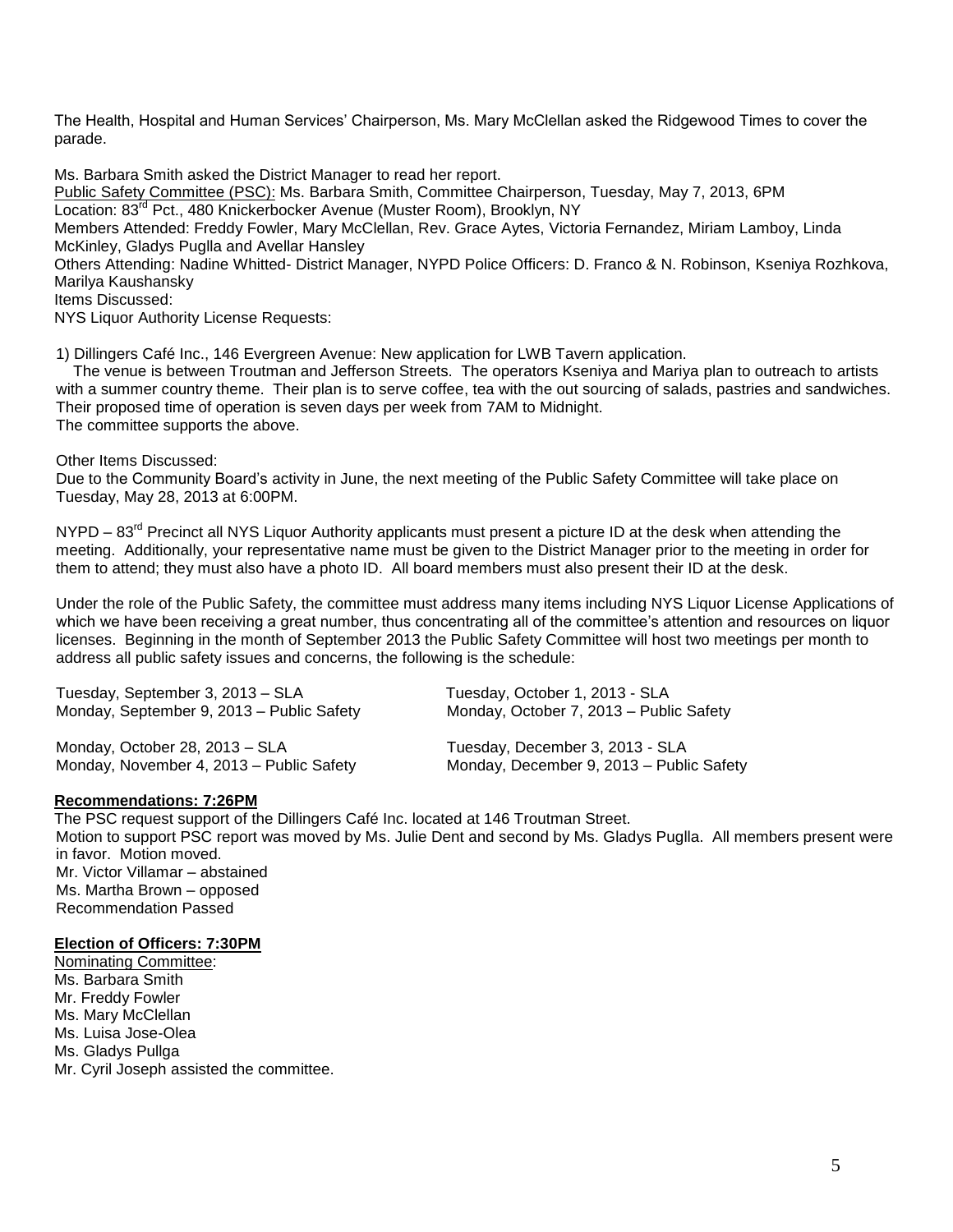The Health, Hospital and Human Services' Chairperson, Ms. Mary McClellan asked the Ridgewood Times to cover the parade.

Ms. Barbara Smith asked the District Manager to read her report. Public Safety Committee (PSC): Ms. Barbara Smith, Committee Chairperson, Tuesday, May 7, 2013, 6PM Location: 83<sup>rd</sup> Pct., 480 Knickerbocker Avenue (Muster Room), Brooklyn, NY Members Attended: Freddy Fowler, Mary McClellan, Rev. Grace Aytes, Victoria Fernandez, Miriam Lamboy, Linda McKinley, Gladys Puglla and Avellar Hansley Others Attending: Nadine Whitted- District Manager, NYPD Police Officers: D. Franco & N. Robinson, Kseniya Rozhkova, Marilya Kaushansky Items Discussed: NYS Liquor Authority License Requests:

1) Dillingers Café Inc., 146 Evergreen Avenue: New application for LWB Tavern application.

 The venue is between Troutman and Jefferson Streets. The operators Kseniya and Mariya plan to outreach to artists with a summer country theme. Their plan is to serve coffee, tea with the out sourcing of salads, pastries and sandwiches. Their proposed time of operation is seven days per week from 7AM to Midnight. The committee supports the above.

Other Items Discussed:

Due to the Community Board's activity in June, the next meeting of the Public Safety Committee will take place on Tuesday, May 28, 2013 at 6:00PM.

NYPD – 83<sup>rd</sup> Precinct all NYS Liquor Authority applicants must present a picture ID at the desk when attending the meeting. Additionally, your representative name must be given to the District Manager prior to the meeting in order for them to attend; they must also have a photo ID. All board members must also present their ID at the desk.

Under the role of the Public Safety, the committee must address many items including NYS Liquor License Applications of which we have been receiving a great number, thus concentrating all of the committee's attention and resources on liquor licenses. Beginning in the month of September 2013 the Public Safety Committee will host two meetings per month to address all public safety issues and concerns, the following is the schedule:

Tuesday, September 3, 2013 – SLA Tuesday, October 1, 2013 - SLA Monday, September 9, 2013 – Public Safety Monday, October 7, 2013 – Public Safety

Monday, October 28, 2013 – SLA Tuesday, December 3, 2013 - SLA Monday, November 4, 2013 – Public Safety Monday, December 9, 2013 – Public Safety

#### **Recommendations: 7:26PM**

The PSC request support of the Dillingers Café Inc. located at 146 Troutman Street. Motion to support PSC report was moved by Ms. Julie Dent and second by Ms. Gladys Puglla. All members present were in favor. Motion moved. Mr. Victor Villamar – abstained Ms. Martha Brown – opposed Recommendation Passed

### **Election of Officers: 7:30PM**

Nominating Committee: Ms. Barbara Smith Mr. Freddy Fowler Ms. Mary McClellan Ms. Luisa Jose-Olea Ms. Gladys Pullga Mr. Cyril Joseph assisted the committee.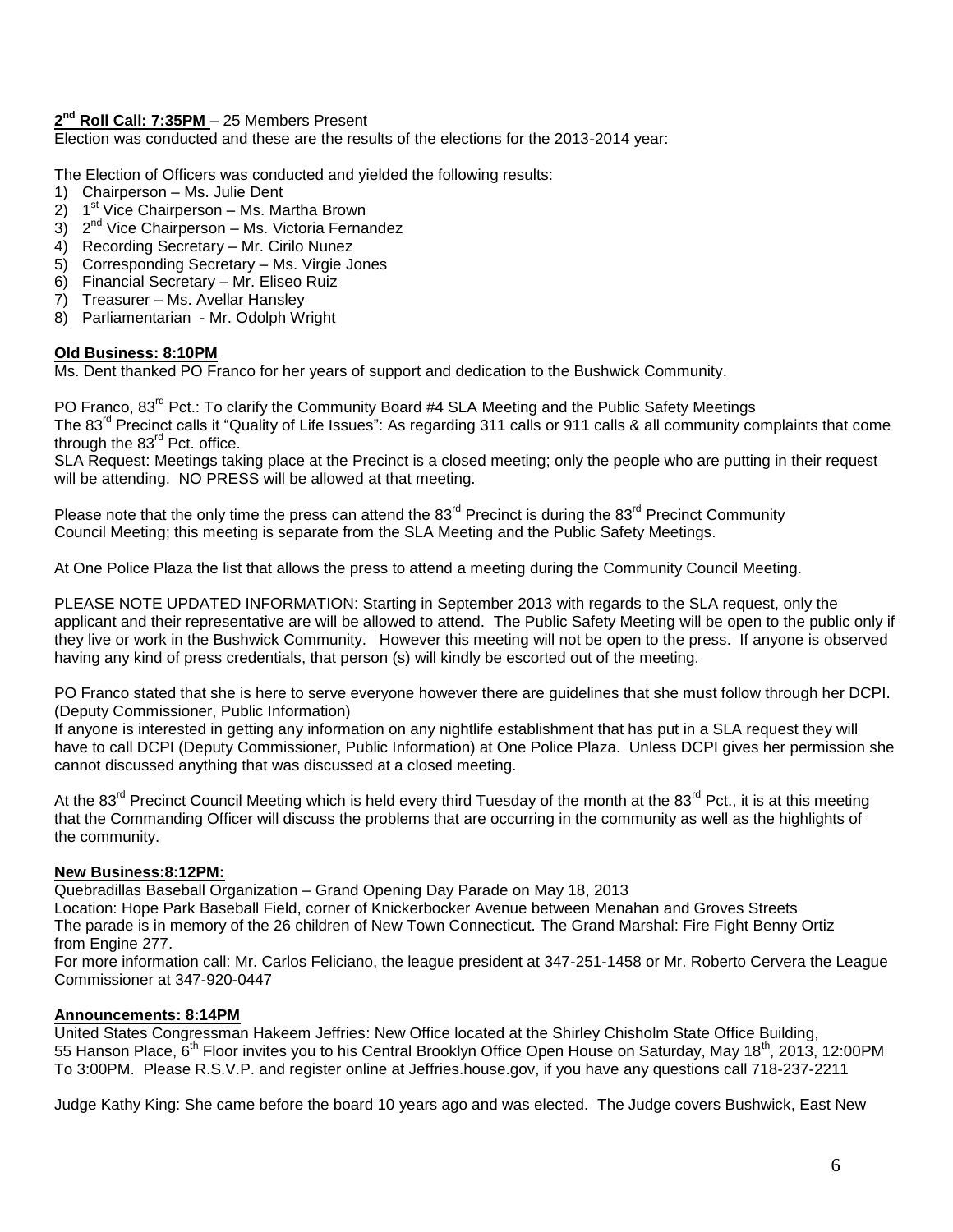# **2 nd Roll Call: 7:35PM** – 25 Members Present

Election was conducted and these are the results of the elections for the 2013-2014 year:

The Election of Officers was conducted and yielded the following results:

- 1) Chairperson Ms. Julie Dent
- 2) 1 1<sup>st</sup> Vice Chairperson – Ms. Martha Brown
- 3) 2<sup>nd</sup> Vice Chairperson Ms. Victoria Fernandez
- 4) Recording Secretary Mr. Cirilo Nunez
- 5) Corresponding Secretary Ms. Virgie Jones
- 6) Financial Secretary Mr. Eliseo Ruiz
- 7) Treasurer Ms. Avellar Hansley
- 8) Parliamentarian Mr. Odolph Wright

## **Old Business: 8:10PM**

Ms. Dent thanked PO Franco for her years of support and dedication to the Bushwick Community.

PO Franco, 83<sup>rd</sup> Pct.: To clarify the Community Board #4 SLA Meeting and the Public Safety Meetings The 83<sup>rd</sup> Precinct calls it "Quality of Life Issues": As regarding 311 calls or 911 calls & all community complaints that come through the  $83<sup>rd</sup>$  Pct. office.

SLA Request: Meetings taking place at the Precinct is a closed meeting; only the people who are putting in their request will be attending. NO PRESS will be allowed at that meeting.

Please note that the only time the press can attend the  $83<sup>rd</sup>$  Precinct is during the  $83<sup>rd</sup>$  Precinct Community Council Meeting; this meeting is separate from the SLA Meeting and the Public Safety Meetings.

At One Police Plaza the list that allows the press to attend a meeting during the Community Council Meeting.

PLEASE NOTE UPDATED INFORMATION: Starting in September 2013 with regards to the SLA request, only the applicant and their representative are will be allowed to attend. The Public Safety Meeting will be open to the public only if they live or work in the Bushwick Community. However this meeting will not be open to the press. If anyone is observed having any kind of press credentials, that person (s) will kindly be escorted out of the meeting.

PO Franco stated that she is here to serve everyone however there are guidelines that she must follow through her DCPI. (Deputy Commissioner, Public Information)

If anyone is interested in getting any information on any nightlife establishment that has put in a SLA request they will have to call DCPI (Deputy Commissioner, Public Information) at One Police Plaza. Unless DCPI gives her permission she cannot discussed anything that was discussed at a closed meeting.

At the 83<sup>rd</sup> Precinct Council Meeting which is held every third Tuesday of the month at the 83<sup>rd</sup> Pct., it is at this meeting that the Commanding Officer will discuss the problems that are occurring in the community as well as the highlights of the community.

# **New Business:8:12PM:**

Quebradillas Baseball Organization – Grand Opening Day Parade on May 18, 2013 Location: Hope Park Baseball Field, corner of Knickerbocker Avenue between Menahan and Groves Streets The parade is in memory of the 26 children of New Town Connecticut. The Grand Marshal: Fire Fight Benny Ortiz from Engine 277.

For more information call: Mr. Carlos Feliciano, the league president at 347-251-1458 or Mr. Roberto Cervera the League Commissioner at 347-920-0447

# **Announcements: 8:14PM**

United States Congressman Hakeem Jeffries: New Office located at the Shirley Chisholm State Office Building, 55 Hanson Place, 6<sup>th</sup> Floor invites you to his Central Brooklyn Office Open House on Saturday, May 18<sup>th</sup>, 2013, 12:00PM To 3:00PM. Please R.S.V.P. and register online at Jeffries.house.gov, if you have any questions call 718-237-2211

Judge Kathy King: She came before the board 10 years ago and was elected. The Judge covers Bushwick, East New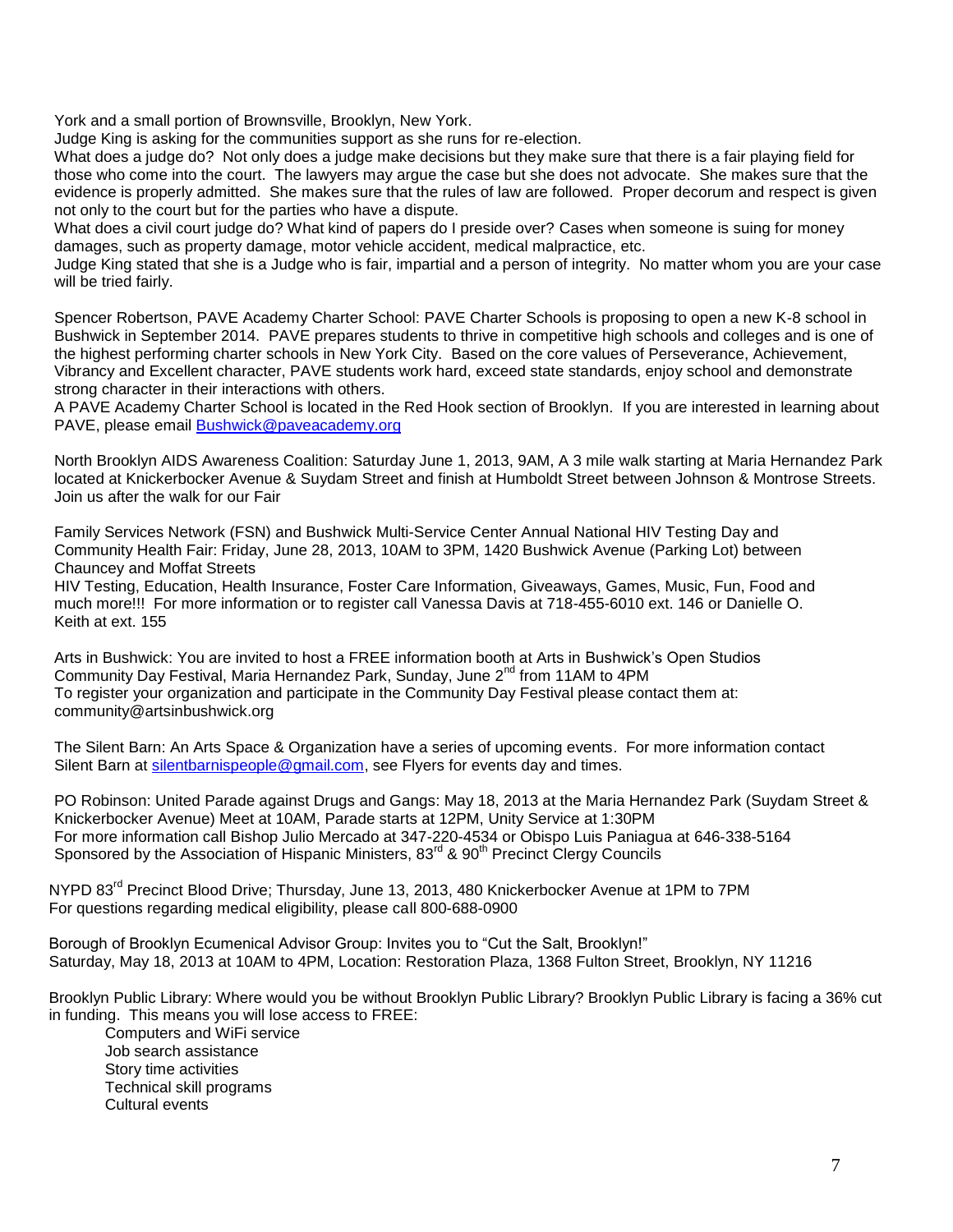York and a small portion of Brownsville, Brooklyn, New York.

Judge King is asking for the communities support as she runs for re-election.

What does a judge do? Not only does a judge make decisions but they make sure that there is a fair playing field for those who come into the court. The lawyers may argue the case but she does not advocate. She makes sure that the evidence is properly admitted. She makes sure that the rules of law are followed. Proper decorum and respect is given not only to the court but for the parties who have a dispute.

What does a civil court judge do? What kind of papers do I preside over? Cases when someone is suing for money damages, such as property damage, motor vehicle accident, medical malpractice, etc.

Judge King stated that she is a Judge who is fair, impartial and a person of integrity. No matter whom you are your case will be tried fairly.

Spencer Robertson, PAVE Academy Charter School: PAVE Charter Schools is proposing to open a new K-8 school in Bushwick in September 2014. PAVE prepares students to thrive in competitive high schools and colleges and is one of the highest performing charter schools in New York City. Based on the core values of Perseverance, Achievement, Vibrancy and Excellent character, PAVE students work hard, exceed state standards, enjoy school and demonstrate strong character in their interactions with others.

A PAVE Academy Charter School is located in the Red Hook section of Brooklyn. If you are interested in learning about PAVE, please email [Bushwick@paveacademy.org](mailto:Bushwick@paveacademy.org)

North Brooklyn AIDS Awareness Coalition: Saturday June 1, 2013, 9AM, A 3 mile walk starting at Maria Hernandez Park located at Knickerbocker Avenue & Suydam Street and finish at Humboldt Street between Johnson & Montrose Streets. Join us after the walk for our Fair

Family Services Network (FSN) and Bushwick Multi-Service Center Annual National HIV Testing Day and Community Health Fair: Friday, June 28, 2013, 10AM to 3PM, 1420 Bushwick Avenue (Parking Lot) between Chauncey and Moffat Streets

HIV Testing, Education, Health Insurance, Foster Care Information, Giveaways, Games, Music, Fun, Food and much more!!! For more information or to register call Vanessa Davis at 718-455-6010 ext. 146 or Danielle O. Keith at ext. 155

Arts in Bushwick: You are invited to host a FREE information booth at Arts in Bushwick's Open Studios Community Day Festival, Maria Hernandez Park, Sunday, June  $2^{nd}$  from 11AM to 4PM To register your organization and participate in the Community Day Festival please contact them at: community@artsinbushwick.org

The Silent Barn: An Arts Space & Organization have a series of upcoming events. For more information contact Silent Barn at [silentbarnispeople@gmail.com,](mailto:silentbarnispeople@gmail.com) see Flyers for events day and times.

PO Robinson: United Parade against Drugs and Gangs: May 18, 2013 at the Maria Hernandez Park (Suydam Street & Knickerbocker Avenue) Meet at 10AM, Parade starts at 12PM, Unity Service at 1:30PM For more information call Bishop Julio Mercado at 347-220-4534 or Obispo Luis Paniagua at 646-338-5164 Sponsored by the Association of Hispanic Ministers, 83<sup>rd</sup> & 90<sup>th</sup> Precinct Clergy Councils

NYPD 83<sup>rd</sup> Precinct Blood Drive; Thursday, June 13, 2013, 480 Knickerbocker Avenue at 1PM to 7PM For questions regarding medical eligibility, please call 800-688-0900

Borough of Brooklyn Ecumenical Advisor Group: Invites you to "Cut the Salt, Brooklyn!" Saturday, May 18, 2013 at 10AM to 4PM, Location: Restoration Plaza, 1368 Fulton Street, Brooklyn, NY 11216

Brooklyn Public Library: Where would you be without Brooklyn Public Library? Brooklyn Public Library is facing a 36% cut in funding. This means you will lose access to FREE:

Computers and WiFi service Job search assistance Story time activities Technical skill programs Cultural events